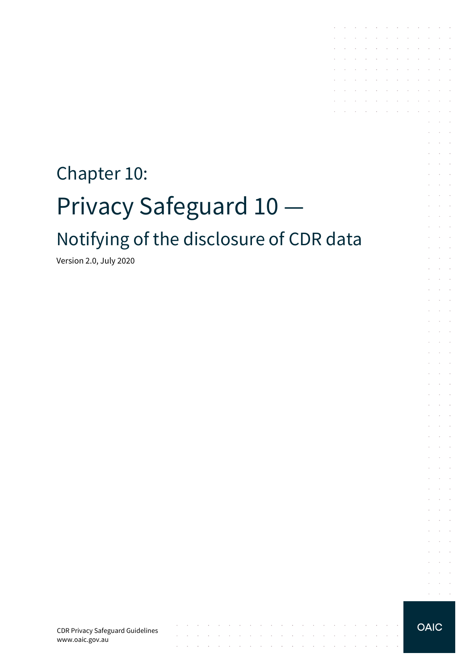# Chapter 10: Privacy Safeguard 10 Notifying of the disclosure of CDR data

Version 2.0, July 2020

CDR Privacy Safeguard Guidelines www.oaic.gov.au

 $\mathcal{L}$ 

contract and a state of

 $\sim$ 

the contract of the contract of the contract of

the contract of the contract of the contract of the contract of the contract of

**OAIC** 

 $\sim$ 

 $\mathcal{L}^{\text{max}}$  and  $\mathcal{L}^{\text{max}}$  $\alpha = 1, \ldots, n$ 

the contract of the contract of the contract of

and the company of the company of the

 $\sim 10^{-1}$ 

 $\mathcal{A}^{\mathcal{A}}$  and  $\mathcal{A}^{\mathcal{A}}$  $\sim$ 

 $\sim$ 

 $\sim$ and a state

 $\mathcal{L}$  $\bar{z}$  $\sim$ 

 $\mathcal{L}$  $\alpha$  and  $\alpha$ 

 $\epsilon$  $\sim 10^{-1}$ 

÷  $\mathcal{L}$ 

÷.  $\mathcal{L}^{\text{max}}$ 

 $\mathcal{L}^{\mathcal{L}}$  $\sim 10^{-1}$  .  $\sim 10^{-11}$  .

s.  $\mathcal{L}$  $\sim$  $\alpha$  and  $\alpha$ 

 $\sim$  $\sim 10^{-10}$  km  $\sim 10^{-1}$  m  $^{-1}$ 

 $\sim$  $\sim 10^{-11}$  .  $\mathcal{L}^{\text{max}}$  and  $\mathcal{L}^{\text{max}}$ 

 $\mathcal{L}$ **Service** 

 $\sim$ **Contract** 

 $\mathcal{L}^{\mathcal{L}}$  $\alpha$  and  $\alpha$ 

 $\sim$  $\sim 10^{-11}$  .

 $\mathcal{L}$  $\sim 10^{-11}$  . and a state

 $\sim$  $\sim$ 

 $\mathcal{A}$  . The signal properties of the signal properties of  $\mathcal{A}$ 

the control of the control of

the control of the control of the  $\mathcal{A}$  is a subset of the set of the set of the set of  $\mathcal{A}$ 

 $\mathcal{L}^{\text{max}}$ 

 $\mathcal{L}^{\mathcal{A}}$  , where  $\mathcal{L}^{\mathcal{A}}$  is the contribution of the contribution of and the state of the state of

 $\mathcal{L}$ 

 $\sim$ 

 $\sim$  $\sim$ 

s.

t.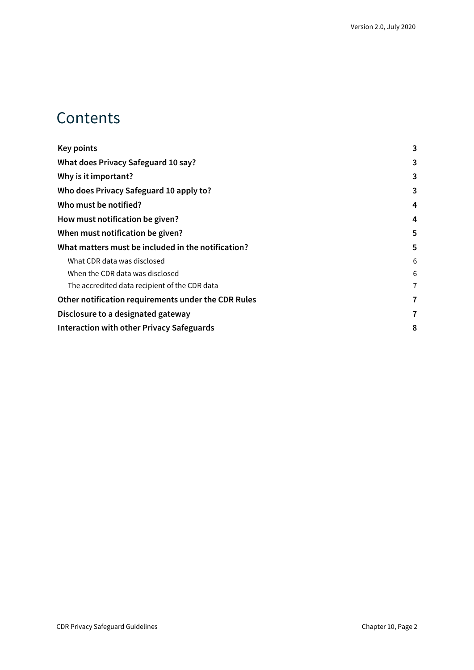#### **Contents**

| <b>Key points</b>                                   | 3 |
|-----------------------------------------------------|---|
| What does Privacy Safeguard 10 say?                 | 3 |
| Why is it important?                                | 3 |
| Who does Privacy Safeguard 10 apply to?             | 3 |
| Who must be notified?                               | 4 |
| How must notification be given?                     | 4 |
| When must notification be given?                    | 5 |
| What matters must be included in the notification?  | 5 |
| What CDR data was disclosed                         | 6 |
| When the CDR data was disclosed                     | 6 |
| The accredited data recipient of the CDR data       | 7 |
| Other notification requirements under the CDR Rules | 7 |
| Disclosure to a designated gateway                  | 7 |
| Interaction with other Privacy Safeguards           | 8 |
|                                                     |   |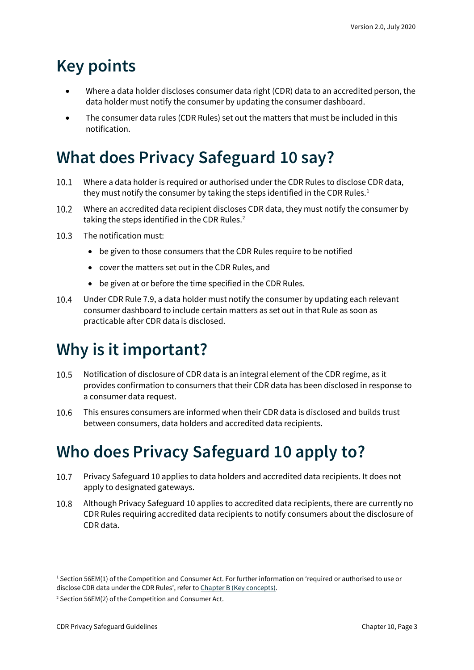# <span id="page-2-0"></span>**Key points**

- Where a data holder discloses consumer data right (CDR) data to an accredited person, the data holder must notify the consumer by updating the consumer dashboard.
- The consumer data rules (CDR Rules) set out the matters that must be included in this notification.

# <span id="page-2-1"></span>**What does Privacy Safeguard 10 say?**

- Where a data holder is required or authorised under the CDR Rules to disclose CDR data,  $10.1$ they must notify the consumer by taking the steps identified in the CDR Rules.<sup>[1](#page-2-4)</sup>
- $10.2$ Where an accredited data recipient discloses CDR data, they must notify the consumer by taking the steps identified in the CDR Rules.<sup>[2](#page-2-5)</sup>
- $10.3$ The notification must:
	- be given to those consumers that the CDR Rules require to be notified
	- cover the matters set out in the CDR Rules, and
	- be given at or before the time specified in the CDR Rules.
- $10.4$ Under CDR Rule 7.9, a data holder must notify the consumer by updating each relevant consumer dashboard to include certain matters as set out in that Rule as soon as practicable after CDR data is disclosed.

# <span id="page-2-2"></span>**Why is it important?**

- 10.5 Notification of disclosure of CDR data is an integral element of the CDR regime, as it provides confirmation to consumers that their CDR data has been disclosed in response to a consumer data request.
- 10.6 This ensures consumers are informed when their CDR data is disclosed and builds trust between consumers, data holders and accredited data recipients.

# <span id="page-2-3"></span>**Who does Privacy Safeguard 10 apply to?**

- $10.7$ Privacy Safeguard 10 applies to data holders and accredited data recipients. It does not apply to designated gateways.
- 10.8 Although Privacy Safeguard 10 applies to accredited data recipients, there are currently no CDR Rules requiring accredited data recipients to notify consumers about the disclosure of CDR data.

<span id="page-2-4"></span><sup>1</sup> Section 56EM(1) of the Competition and Consumer Act. For further information on 'required or authorised to use or disclose CDR data under the CDR Rules', refer to [Chapter B \(Key concepts\).](https://www.oaic.gov.au/consumer-data-right/cdr-privacy-safeguard-guidelines/chapter-b-key-concepts)

<span id="page-2-5"></span><sup>2</sup> Section 56EM(2) of the Competition and Consumer Act.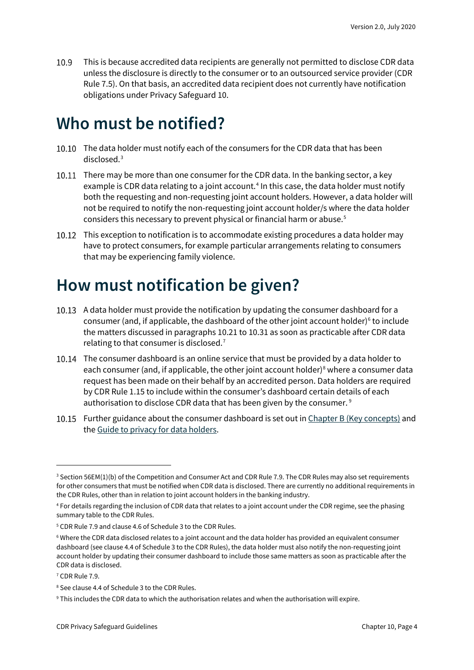This is because accredited data recipients are generally not permitted to disclose CDR data 10.9 unless the disclosure is directly to the consumer or to an outsourced service provider (CDR Rule 7.5). On that basis, an accredited data recipient does not currently have notification obligations under Privacy Safeguard 10.

#### <span id="page-3-0"></span>**Who must be notified?**

- 10.10 The data holder must notify each of the consumers for the CDR data that has been disclosed.[3](#page-3-2)
- 10.11 There may be more than one consumer for the CDR data. In the banking sector, a key example is CDR data relating to a joint account.<sup>[4](#page-3-3)</sup> In this case, the data holder must notify both the requesting and non-requesting joint account holders. However, a data holder will not be required to notify the non-requesting joint account holder/s where the data holder considers this necessary to prevent physical or financial harm or abuse.[5](#page-3-4)
- 10.12 This exception to notification is to accommodate existing procedures a data holder may have to protect consumers, for example particular arrangements relating to consumers that may be experiencing family violence.

### <span id="page-3-1"></span>**How must notification be given?**

- 10.13 A data holder must provide the notification by updating the consumer dashboard for a consumer (and, if applicable, the dashboard of the other joint account holder) $6$  to include the matters discussed in paragraphs 10.21 to 10.31 as soon as practicable after CDR data relating to that consumer is disclosed.<sup>[7](#page-3-6)</sup>
- The consumer dashboard is an online service that must be provided by a data holder to each consumer (and, if applicable, the other joint account holder)<sup>[8](#page-3-7)</sup> where a consumer data request has been made on their behalf by an accredited person. Data holders are required by CDR Rule 1.15 to include within the consumer's dashboard certain details of each authorisation to disclose CDR data that has been given by the consumer. [9](#page-3-8)
- 10.15 Further guidance about the consumer dashboard is set out i[n Chapter B \(Key concepts\)](https://www.oaic.gov.au/consumer-data-right/cdr-privacy-safeguard-guidelines/chapter-b-key-concepts) and th[e Guide to privacy for data holders.](https://www.oaic.gov.au/consumer-data-right/guidance-and-advice/guide-to-privacy-for-data-holders/#how-authorisations-must-be-managed)

<span id="page-3-2"></span><sup>&</sup>lt;sup>3</sup> Section 56EM(1)(b) of the Competition and Consumer Act and CDR Rule 7.9. The CDR Rules may also set requirements for other consumers that must be notified when CDR data is disclosed. There are currently no additional requirements in the CDR Rules, other than in relation to joint account holders in the banking industry.

<span id="page-3-3"></span><sup>4</sup> For details regarding the inclusion of CDR data that relates to a joint account under the CDR regime, see the phasing summary table to the CDR Rules.

<span id="page-3-4"></span><sup>5</sup> CDR Rule 7.9 and clause 4.6 of Schedule 3 to the CDR Rules.

<span id="page-3-5"></span><sup>6</sup> Where the CDR data disclosed relates to a joint account and the data holder has provided an equivalent consumer dashboard (see clause 4.4 of Schedule 3 to the CDR Rules), the data holder must also notify the non-requesting joint account holder by updating their consumer dashboard to include those same matters as soon as practicable after the CDR data is disclosed.

<span id="page-3-6"></span><sup>7</sup> CDR Rule 7.9.

<span id="page-3-7"></span><sup>8</sup> See clause 4.4 of Schedule 3 to the CDR Rules.

<span id="page-3-8"></span><sup>9</sup> This includes the CDR data to which the authorisation relates and when the authorisation will expire.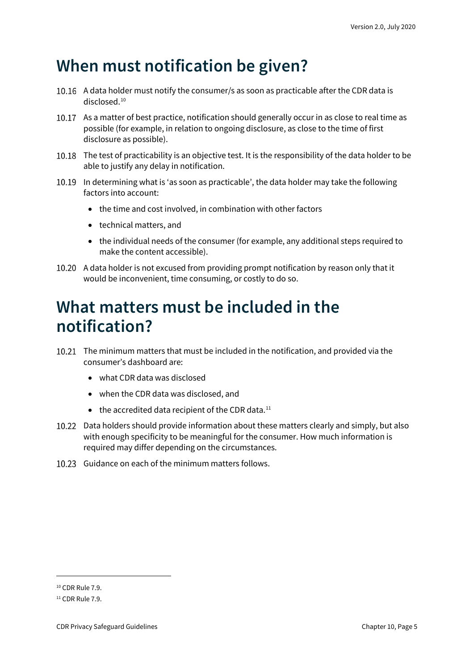#### <span id="page-4-0"></span>**When must notification be given?**

- 10.16 A data holder must notify the consumer/s as soon as practicable after the CDR data is disclosed. [10](#page-4-2)
- 10.17 As a matter of best practice, notification should generally occur in as close to real time as possible (for example, in relation to ongoing disclosure, as close to the time of first disclosure as possible).
- 10.18 The test of practicability is an objective test. It is the responsibility of the data holder to be able to justify any delay in notification.
- 10.19 In determining what is 'as soon as practicable', the data holder may take the following factors into account:
	- the time and cost involved, in combination with other factors
	- technical matters, and
	- the individual needs of the consumer (for example, any additional steps required to make the content accessible).
- 10.20 A data holder is not excused from providing prompt notification by reason only that it would be inconvenient, time consuming, or costly to do so.

#### <span id="page-4-1"></span>**What matters must be included in the notification?**

- The minimum matters that must be included in the notification, and provided via the consumer's dashboard are:
	- what CDR data was disclosed
	- when the CDR data was disclosed, and
	- $\bullet$  the accredited data recipient of the CDR data.<sup>[11](#page-4-3)</sup>
- 10.22 Data holders should provide information about these matters clearly and simply, but also with enough specificity to be meaningful for the consumer. How much information is required may differ depending on the circumstances.
- 10.23 Guidance on each of the minimum matters follows.

<span id="page-4-2"></span><sup>10</sup> CDR Rule 7.9.

<span id="page-4-3"></span> $11$  CDR Rule 7.9.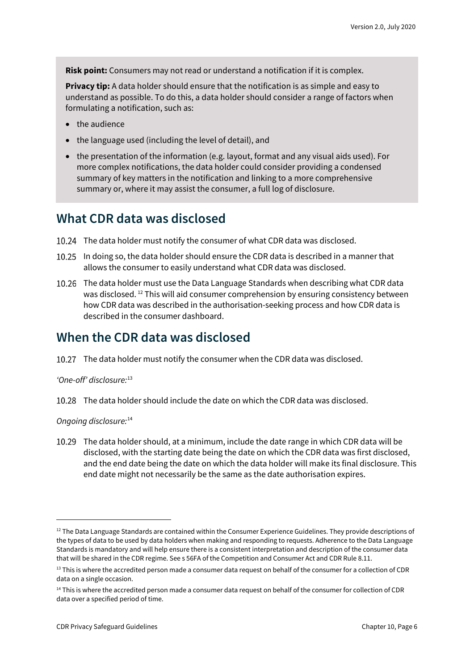**Risk point:** Consumers may not read or understand a notification if it is complex.

**Privacy tip:** A data holder should ensure that the notification is as simple and easy to understand as possible. To do this, a data holder should consider a range of factors when formulating a notification, such as:

- the audience
- the language used (including the level of detail), and
- the presentation of the information (e.g. layout, format and any visual aids used). For more complex notifications, the data holder could consider providing a condensed summary of key matters in the notification and linking to a more comprehensive summary or, where it may assist the consumer, a full log of disclosure.

#### <span id="page-5-0"></span>**What CDR data was disclosed**

- The data holder must notify the consumer of what CDR data was disclosed.
- In doing so, the data holder should ensure the CDR data is described in a manner that allows the consumer to easily understand what CDR data was disclosed.
- The data holder must use the Data Language Standards when describing what CDR data was disclosed. [12](#page-5-2) This will aid consumer comprehension by ensuring consistency between how CDR data was described in the authorisation-seeking process and how CDR data is described in the consumer dashboard.

#### <span id="page-5-1"></span>**When the CDR data was disclosed**

10.27 The data holder must notify the consumer when the CDR data was disclosed.

#### *'One-off' disclosure:*[13](#page-5-3)

The data holder should include the date on which the CDR data was disclosed.

*Ongoing disclosure:* [14](#page-5-4)

The data holder should, at a minimum, include the date range in which CDR data will be disclosed, with the starting date being the date on which the CDR data was first disclosed, and the end date being the date on which the data holder will make its final disclosure. This end date might not necessarily be the same as the date authorisation expires.

<span id="page-5-2"></span> $12$  The Data Language Standards are contained within the Consumer Experience Guidelines. They provide descriptions of the types of data to be used by data holders when making and responding to requests. Adherence to the Data Language Standards is mandatory and will help ensure there is a consistent interpretation and description of the consumer data that will be shared in the CDR regime. See s 56FA of the Competition and Consumer Act and CDR Rule 8.11.

<span id="page-5-3"></span><sup>&</sup>lt;sup>13</sup> This is where the accredited person made a consumer data request on behalf of the consumer for a collection of CDR data on a single occasion.

<span id="page-5-4"></span> $14$  This is where the accredited person made a consumer data request on behalf of the consumer for collection of CDR data over a specified period of time.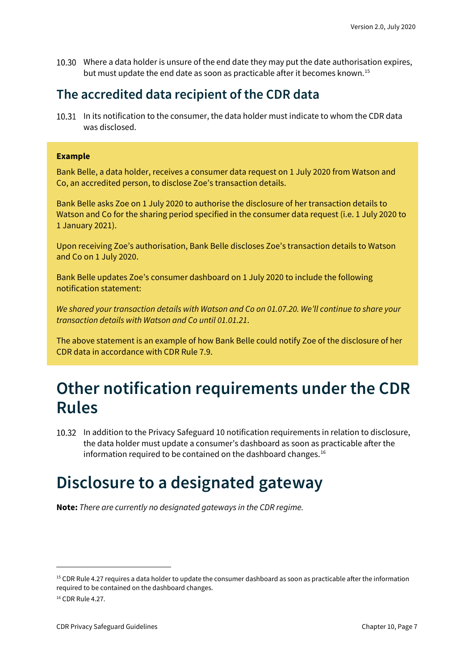Where a data holder is unsure of the end date they may put the date authorisation expires, but must update the end date as soon as practicable after it becomes known. [15](#page-6-3)

#### <span id="page-6-0"></span>**The accredited data recipient of the CDR data**

10.31 In its notification to the consumer, the data holder must indicate to whom the CDR data was disclosed.

#### **Example**

Bank Belle, a data holder, receives a consumer data request on 1 July 2020 from Watson and Co, an accredited person, to disclose Zoe's transaction details.

Bank Belle asks Zoe on 1 July 2020 to authorise the disclosure of her transaction details to Watson and Co for the sharing period specified in the consumer data request (i.e. 1 July 2020 to 1 January 2021).

Upon receiving Zoe's authorisation, Bank Belle discloses Zoe's transaction details to Watson and Co on 1 July 2020.

Bank Belle updates Zoe's consumer dashboard on 1 July 2020 to include the following notification statement:

*We shared your transaction details with Watson and Co on 01.07.20. We'll continue to share your transaction details with Watson and Co until 01.01.21*.

The above statement is an example of how Bank Belle could notify Zoe of the disclosure of her CDR data in accordance with CDR Rule 7.9.

#### <span id="page-6-1"></span>**Other notification requirements under the CDR Rules**

In addition to the Privacy Safeguard 10 notification requirements in relation to disclosure, the data holder must update a consumer's dashboard as soon as practicable after the information required to be contained on the dashboard changes.<sup>[16](#page-6-4)</sup>

### <span id="page-6-2"></span>**Disclosure to a designated gateway**

**Note:** *There are currently no designated gateways in the CDR regime.*

<span id="page-6-3"></span><sup>&</sup>lt;sup>15</sup> CDR Rule 4.27 requires a data holder to update the consumer dashboard as soon as practicable after the information required to be contained on the dashboard changes.

<span id="page-6-4"></span><sup>16</sup> CDR Rule 4.27.